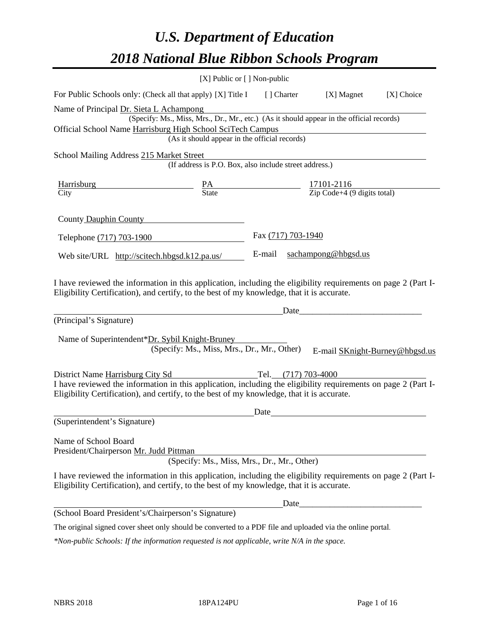# *U.S. Department of Education 2018 National Blue Ribbon Schools Program*

|                                                                                                                                                                                                              | [X] Public or [] Non-public                                                                                                               |                    |                                                                                                                                                                                                                                |            |
|--------------------------------------------------------------------------------------------------------------------------------------------------------------------------------------------------------------|-------------------------------------------------------------------------------------------------------------------------------------------|--------------------|--------------------------------------------------------------------------------------------------------------------------------------------------------------------------------------------------------------------------------|------------|
| For Public Schools only: (Check all that apply) [X] Title I [] Charter [X] Magnet                                                                                                                            |                                                                                                                                           |                    |                                                                                                                                                                                                                                | [X] Choice |
| Name of Principal Dr. Sieta L Achampong<br>Official School Name Harrisburg High School SciTech Campus                                                                                                        | (Specify: Ms., Miss, Mrs., Dr., Mr., etc.) (As it should appear in the official records)<br>(As it should appear in the official records) |                    |                                                                                                                                                                                                                                |            |
| School Mailing Address 215 Market Street                                                                                                                                                                     | (If address is P.O. Box, also include street address.)                                                                                    |                    |                                                                                                                                                                                                                                |            |
| <b>Harrisburg</b><br>City                                                                                                                                                                                    | $\frac{PA}{State}$                                                                                                                        |                    | $\frac{17101-2116}{\text{Zip Code}+4 (9 digits total)}$                                                                                                                                                                        |            |
| County Dauphin County                                                                                                                                                                                        |                                                                                                                                           |                    |                                                                                                                                                                                                                                |            |
| Telephone (717) 703-1900                                                                                                                                                                                     |                                                                                                                                           | Fax (717) 703-1940 |                                                                                                                                                                                                                                |            |
| Web site/URL http://scitech.hbgsd.k12.pa.us/                                                                                                                                                                 |                                                                                                                                           | E-mail             | sachampong@hbgsd.us                                                                                                                                                                                                            |            |
| Eligibility Certification), and certify, to the best of my knowledge, that it is accurate.<br>(Principal's Signature)<br>Name of Superintendent*Dr. Sybil Knight-Bruney                                      | (Specify: Ms., Miss, Mrs., Dr., Mr., Other)                                                                                               |                    | E-mail SKnight-Burney@hbgsd.us                                                                                                                                                                                                 |            |
| District Name Harrisburg City Sd<br>I have reviewed the information in this application, including the eligibility requirements on page 2 (Part I-                                                           |                                                                                                                                           |                    |                                                                                                                                                                                                                                |            |
| Eligibility Certification), and certify, to the best of my knowledge, that it is accurate.                                                                                                                   |                                                                                                                                           |                    |                                                                                                                                                                                                                                |            |
|                                                                                                                                                                                                              |                                                                                                                                           | Date               |                                                                                                                                                                                                                                |            |
| (Superintendent's Signature)                                                                                                                                                                                 |                                                                                                                                           |                    |                                                                                                                                                                                                                                |            |
| Name of School Board<br>President/Chairperson Mr. Judd Pittman                                                                                                                                               | (Specify: Ms., Miss, Mrs., Dr., Mr., Other)                                                                                               |                    |                                                                                                                                                                                                                                |            |
| I have reviewed the information in this application, including the eligibility requirements on page 2 (Part I-<br>Eligibility Certification), and certify, to the best of my knowledge, that it is accurate. |                                                                                                                                           |                    |                                                                                                                                                                                                                                |            |
|                                                                                                                                                                                                              |                                                                                                                                           |                    | Date and the contract of the contract of the contract of the contract of the contract of the contract of the contract of the contract of the contract of the contract of the contract of the contract of the contract of the c |            |
| (School Board President's/Chairperson's Signature)                                                                                                                                                           |                                                                                                                                           |                    |                                                                                                                                                                                                                                |            |
| The original signed cover sheet only should be converted to a PDF file and uploaded via the online portal.                                                                                                   |                                                                                                                                           |                    |                                                                                                                                                                                                                                |            |

*\*Non-public Schools: If the information requested is not applicable, write N/A in the space.*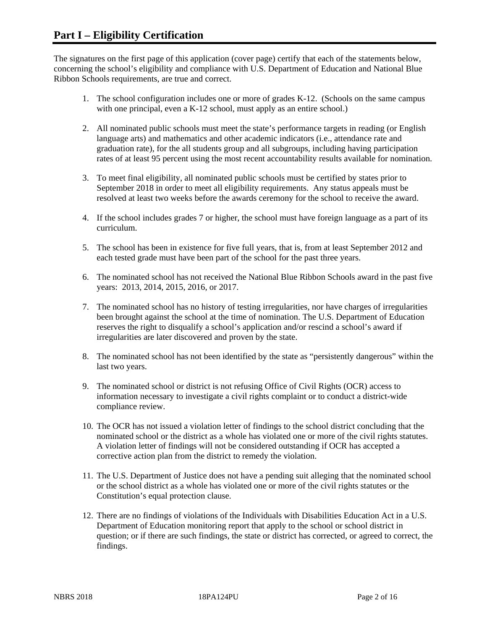The signatures on the first page of this application (cover page) certify that each of the statements below, concerning the school's eligibility and compliance with U.S. Department of Education and National Blue Ribbon Schools requirements, are true and correct.

- 1. The school configuration includes one or more of grades K-12. (Schools on the same campus with one principal, even a K-12 school, must apply as an entire school.)
- 2. All nominated public schools must meet the state's performance targets in reading (or English language arts) and mathematics and other academic indicators (i.e., attendance rate and graduation rate), for the all students group and all subgroups, including having participation rates of at least 95 percent using the most recent accountability results available for nomination.
- 3. To meet final eligibility, all nominated public schools must be certified by states prior to September 2018 in order to meet all eligibility requirements. Any status appeals must be resolved at least two weeks before the awards ceremony for the school to receive the award.
- 4. If the school includes grades 7 or higher, the school must have foreign language as a part of its curriculum.
- 5. The school has been in existence for five full years, that is, from at least September 2012 and each tested grade must have been part of the school for the past three years.
- 6. The nominated school has not received the National Blue Ribbon Schools award in the past five years: 2013, 2014, 2015, 2016, or 2017.
- 7. The nominated school has no history of testing irregularities, nor have charges of irregularities been brought against the school at the time of nomination. The U.S. Department of Education reserves the right to disqualify a school's application and/or rescind a school's award if irregularities are later discovered and proven by the state.
- 8. The nominated school has not been identified by the state as "persistently dangerous" within the last two years.
- 9. The nominated school or district is not refusing Office of Civil Rights (OCR) access to information necessary to investigate a civil rights complaint or to conduct a district-wide compliance review.
- 10. The OCR has not issued a violation letter of findings to the school district concluding that the nominated school or the district as a whole has violated one or more of the civil rights statutes. A violation letter of findings will not be considered outstanding if OCR has accepted a corrective action plan from the district to remedy the violation.
- 11. The U.S. Department of Justice does not have a pending suit alleging that the nominated school or the school district as a whole has violated one or more of the civil rights statutes or the Constitution's equal protection clause.
- 12. There are no findings of violations of the Individuals with Disabilities Education Act in a U.S. Department of Education monitoring report that apply to the school or school district in question; or if there are such findings, the state or district has corrected, or agreed to correct, the findings.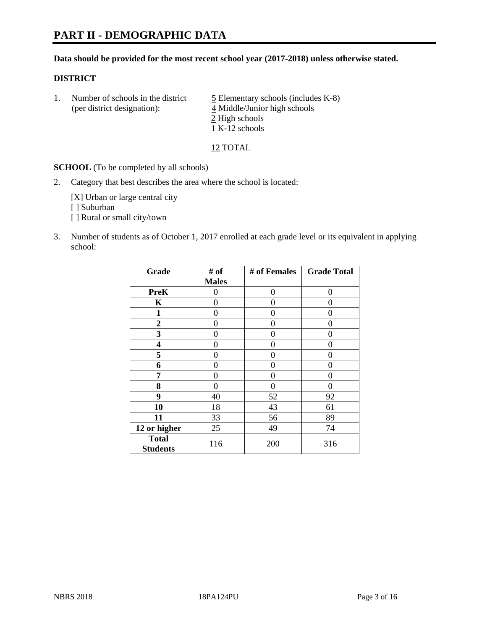#### **Data should be provided for the most recent school year (2017-2018) unless otherwise stated.**

#### **DISTRICT**

1. Number of schools in the district  $\frac{5}{2}$  Elementary schools (includes K-8) (per district designation): 4 Middle/Junior high schools 2 High schools 1 K-12 schools

12 TOTAL

**SCHOOL** (To be completed by all schools)

2. Category that best describes the area where the school is located:

[X] Urban or large central city [ ] Suburban [] Rural or small city/town

3. Number of students as of October 1, 2017 enrolled at each grade level or its equivalent in applying school:

| Grade                           | # of         | # of Females | <b>Grade Total</b> |
|---------------------------------|--------------|--------------|--------------------|
|                                 | <b>Males</b> |              |                    |
| <b>PreK</b>                     | 0            | $\theta$     | 0                  |
| $\mathbf K$                     | 0            | 0            | 0                  |
| 1                               | 0            | 0            | 0                  |
| 2                               | 0            | $\Omega$     | 0                  |
| 3                               | 0            | 0            | 0                  |
| 4                               | 0            | 0            | 0                  |
| 5                               | 0            | 0            | 0                  |
| 6                               | 0            | $\Omega$     | 0                  |
| 7                               | 0            | 0            | 0                  |
| 8                               | 0            | 0            | 0                  |
| 9                               | 40           | 52           | 92                 |
| 10                              | 18           | 43           | 61                 |
| 11                              | 33           | 56           | 89                 |
| 12 or higher                    | 25           | 49           | 74                 |
| <b>Total</b><br><b>Students</b> | 116          | 200          | 316                |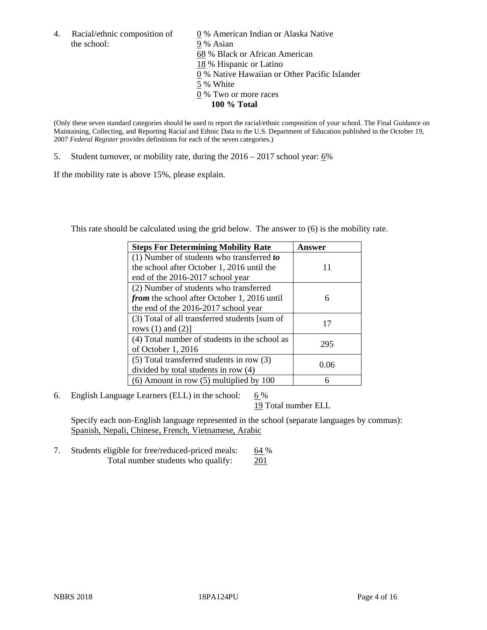the school: 9 % Asian

4. Racial/ethnic composition of  $\qquad 0\%$  American Indian or Alaska Native 68 % Black or African American 18 % Hispanic or Latino 0 % Native Hawaiian or Other Pacific Islander 5 % White 0 % Two or more races **100 % Total**

(Only these seven standard categories should be used to report the racial/ethnic composition of your school. The Final Guidance on Maintaining, Collecting, and Reporting Racial and Ethnic Data to the U.S. Department of Education published in the October 19, 2007 *Federal Register* provides definitions for each of the seven categories.)

5. Student turnover, or mobility rate, during the 2016 – 2017 school year: 6%

If the mobility rate is above 15%, please explain.

This rate should be calculated using the grid below. The answer to (6) is the mobility rate.

| <b>Steps For Determining Mobility Rate</b>         | Answer |
|----------------------------------------------------|--------|
| (1) Number of students who transferred to          |        |
| the school after October 1, 2016 until the         | 11     |
| end of the 2016-2017 school year                   |        |
| (2) Number of students who transferred             |        |
| <i>from</i> the school after October 1, 2016 until | 6      |
| the end of the 2016-2017 school year               |        |
| (3) Total of all transferred students [sum of      | 17     |
| rows $(1)$ and $(2)$ ]                             |        |
| (4) Total number of students in the school as      | 295    |
| of October 1, 2016                                 |        |
| (5) Total transferred students in row (3)          | 0.06   |
| divided by total students in row (4)               |        |
| $(6)$ Amount in row $(5)$ multiplied by 100        | 6      |

6. English Language Learners (ELL) in the school:  $6\%$ 

19 Total number ELL

Specify each non-English language represented in the school (separate languages by commas): Spanish, Nepali, Chinese, French, Vietnamese, Arabic

7. Students eligible for free/reduced-priced meals: 64 % Total number students who qualify: 201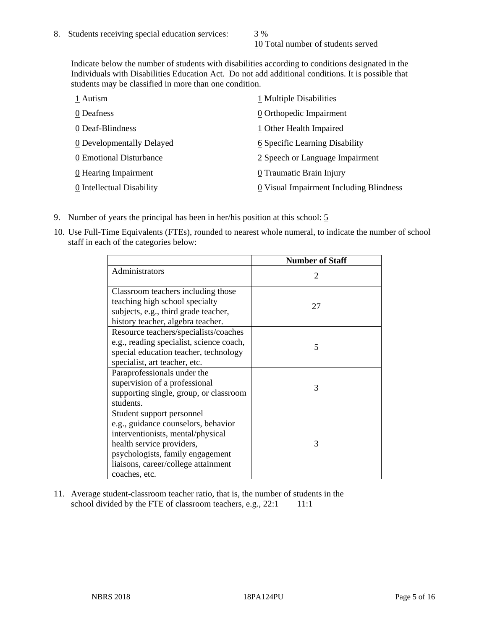10 Total number of students served

Indicate below the number of students with disabilities according to conditions designated in the Individuals with Disabilities Education Act. Do not add additional conditions. It is possible that students may be classified in more than one condition.

| 1 Autism                           | 1 Multiple Disabilities                 |
|------------------------------------|-----------------------------------------|
| 0 Deafness                         | 0 Orthopedic Impairment                 |
| 0 Deaf-Blindness                   | 1 Other Health Impaired                 |
| 0 Developmentally Delayed          | 6 Specific Learning Disability          |
| 0 Emotional Disturbance            | 2 Speech or Language Impairment         |
| $\underline{0}$ Hearing Impairment | 0 Traumatic Brain Injury                |
| 0 Intellectual Disability          | 0 Visual Impairment Including Blindness |

- 9. Number of years the principal has been in her/his position at this school: 5
- 10. Use Full-Time Equivalents (FTEs), rounded to nearest whole numeral, to indicate the number of school staff in each of the categories below:

|                                                                                                                                                                                                                                | <b>Number of Staff</b>      |
|--------------------------------------------------------------------------------------------------------------------------------------------------------------------------------------------------------------------------------|-----------------------------|
| Administrators                                                                                                                                                                                                                 | $\mathcal{D}_{\mathcal{L}}$ |
| Classroom teachers including those<br>teaching high school specialty<br>subjects, e.g., third grade teacher,<br>history teacher, algebra teacher.                                                                              | 27                          |
| Resource teachers/specialists/coaches<br>e.g., reading specialist, science coach,<br>special education teacher, technology<br>specialist, art teacher, etc.                                                                    | 5                           |
| Paraprofessionals under the<br>supervision of a professional<br>supporting single, group, or classroom<br>students.                                                                                                            | 3                           |
| Student support personnel<br>e.g., guidance counselors, behavior<br>interventionists, mental/physical<br>health service providers,<br>psychologists, family engagement<br>liaisons, career/college attainment<br>coaches, etc. | 3                           |

11. Average student-classroom teacher ratio, that is, the number of students in the school divided by the FTE of classroom teachers, e.g.,  $22:1$  11:1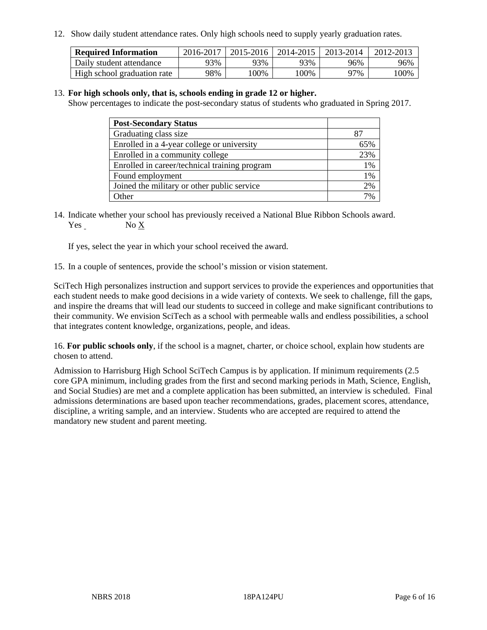12. Show daily student attendance rates. Only high schools need to supply yearly graduation rates.

| <b>Required Information</b> | 2016-2017 | 2015-2016 | 2014-2015 | 2013-2014 | 2012-2013 |
|-----------------------------|-----------|-----------|-----------|-----------|-----------|
| Daily student attendance    | 93%       | 93%       | 93%       | 96%       | 96%       |
| High school graduation rate | 98%       | .00%      | 00%       | 97%       | 00%       |

#### 13. **For high schools only, that is, schools ending in grade 12 or higher.**

Show percentages to indicate the post-secondary status of students who graduated in Spring 2017.

| <b>Post-Secondary Status</b>                  |      |
|-----------------------------------------------|------|
| Graduating class size                         |      |
| Enrolled in a 4-year college or university    | 65%  |
| Enrolled in a community college               | 23%  |
| Enrolled in career/technical training program | 1%   |
| Found employment                              | 1%   |
| Joined the military or other public service   | 2%   |
| Other                                         | 70/6 |

14. Indicate whether your school has previously received a National Blue Ribbon Schools award. Yes No X

If yes, select the year in which your school received the award.

15. In a couple of sentences, provide the school's mission or vision statement.

SciTech High personalizes instruction and support services to provide the experiences and opportunities that each student needs to make good decisions in a wide variety of contexts. We seek to challenge, fill the gaps, and inspire the dreams that will lead our students to succeed in college and make significant contributions to their community. We envision SciTech as a school with permeable walls and endless possibilities, a school that integrates content knowledge, organizations, people, and ideas.

16. **For public schools only**, if the school is a magnet, charter, or choice school, explain how students are chosen to attend.

Admission to Harrisburg High School SciTech Campus is by application. If minimum requirements (2.5 core GPA minimum, including grades from the first and second marking periods in Math, Science, English, and Social Studies) are met and a complete application has been submitted, an interview is scheduled. Final admissions determinations are based upon teacher recommendations, grades, placement scores, attendance, discipline, a writing sample, and an interview. Students who are accepted are required to attend the mandatory new student and parent meeting.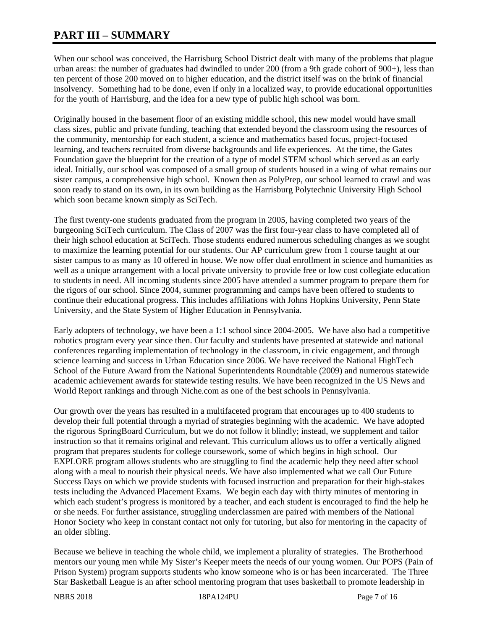# **PART III – SUMMARY**

When our school was conceived, the Harrisburg School District dealt with many of the problems that plague urban areas: the number of graduates had dwindled to under 200 (from a 9th grade cohort of 900+), less than ten percent of those 200 moved on to higher education, and the district itself was on the brink of financial insolvency. Something had to be done, even if only in a localized way, to provide educational opportunities for the youth of Harrisburg, and the idea for a new type of public high school was born.

Originally housed in the basement floor of an existing middle school, this new model would have small class sizes, public and private funding, teaching that extended beyond the classroom using the resources of the community, mentorship for each student, a science and mathematics based focus, project-focused learning, and teachers recruited from diverse backgrounds and life experiences. At the time, the Gates Foundation gave the blueprint for the creation of a type of model STEM school which served as an early ideal. Initially, our school was composed of a small group of students housed in a wing of what remains our sister campus, a comprehensive high school. Known then as PolyPrep, our school learned to crawl and was soon ready to stand on its own, in its own building as the Harrisburg Polytechnic University High School which soon became known simply as SciTech.

The first twenty-one students graduated from the program in 2005, having completed two years of the burgeoning SciTech curriculum. The Class of 2007 was the first four-year class to have completed all of their high school education at SciTech. Those students endured numerous scheduling changes as we sought to maximize the learning potential for our students. Our AP curriculum grew from 1 course taught at our sister campus to as many as 10 offered in house. We now offer dual enrollment in science and humanities as well as a unique arrangement with a local private university to provide free or low cost collegiate education to students in need. All incoming students since 2005 have attended a summer program to prepare them for the rigors of our school. Since 2004, summer programming and camps have been offered to students to continue their educational progress. This includes affiliations with Johns Hopkins University, Penn State University, and the State System of Higher Education in Pennsylvania.

Early adopters of technology, we have been a 1:1 school since 2004-2005. We have also had a competitive robotics program every year since then. Our faculty and students have presented at statewide and national conferences regarding implementation of technology in the classroom, in civic engagement, and through science learning and success in Urban Education since 2006. We have received the National HighTech School of the Future Award from the National Superintendents Roundtable (2009) and numerous statewide academic achievement awards for statewide testing results. We have been recognized in the US News and World Report rankings and through Niche.com as one of the best schools in Pennsylvania.

Our growth over the years has resulted in a multifaceted program that encourages up to 400 students to develop their full potential through a myriad of strategies beginning with the academic. We have adopted the rigorous SpringBoard Curriculum, but we do not follow it blindly; instead, we supplement and tailor instruction so that it remains original and relevant. This curriculum allows us to offer a vertically aligned program that prepares students for college coursework, some of which begins in high school. Our EXPLORE program allows students who are struggling to find the academic help they need after school along with a meal to nourish their physical needs. We have also implemented what we call Our Future Success Days on which we provide students with focused instruction and preparation for their high-stakes tests including the Advanced Placement Exams. We begin each day with thirty minutes of mentoring in which each student's progress is monitored by a teacher, and each student is encouraged to find the help he or she needs. For further assistance, struggling underclassmen are paired with members of the National Honor Society who keep in constant contact not only for tutoring, but also for mentoring in the capacity of an older sibling.

Because we believe in teaching the whole child, we implement a plurality of strategies. The Brotherhood mentors our young men while My Sister's Keeper meets the needs of our young women. Our POPS (Pain of Prison System) program supports students who know someone who is or has been incarcerated. The Three Star Basketball League is an after school mentoring program that uses basketball to promote leadership in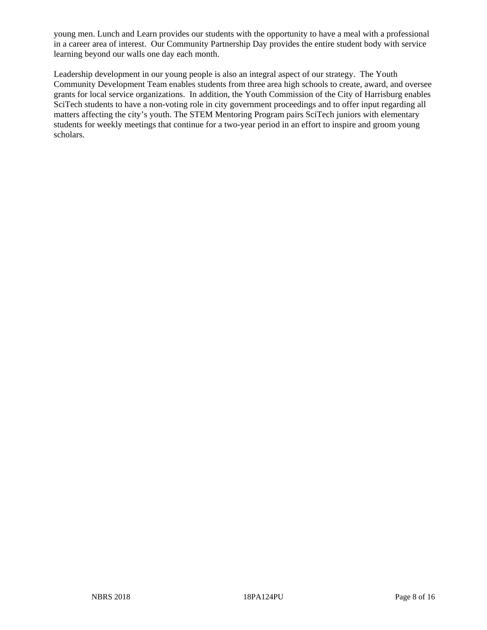young men. Lunch and Learn provides our students with the opportunity to have a meal with a professional in a career area of interest. Our Community Partnership Day provides the entire student body with service learning beyond our walls one day each month.

Leadership development in our young people is also an integral aspect of our strategy. The Youth Community Development Team enables students from three area high schools to create, award, and oversee grants for local service organizations. In addition, the Youth Commission of the City of Harrisburg enables SciTech students to have a non-voting role in city government proceedings and to offer input regarding all matters affecting the city's youth. The STEM Mentoring Program pairs SciTech juniors with elementary students for weekly meetings that continue for a two-year period in an effort to inspire and groom young scholars.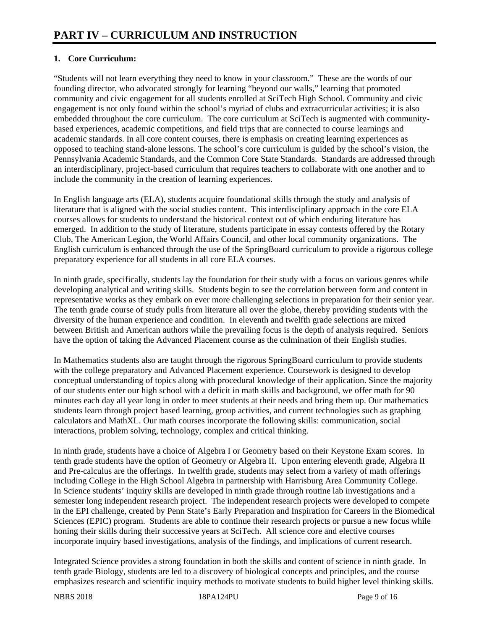# **1. Core Curriculum:**

"Students will not learn everything they need to know in your classroom." These are the words of our founding director, who advocated strongly for learning "beyond our walls," learning that promoted community and civic engagement for all students enrolled at SciTech High School. Community and civic engagement is not only found within the school's myriad of clubs and extracurricular activities; it is also embedded throughout the core curriculum. The core curriculum at SciTech is augmented with communitybased experiences, academic competitions, and field trips that are connected to course learnings and academic standards. In all core content courses, there is emphasis on creating learning experiences as opposed to teaching stand-alone lessons. The school's core curriculum is guided by the school's vision, the Pennsylvania Academic Standards, and the Common Core State Standards. Standards are addressed through an interdisciplinary, project-based curriculum that requires teachers to collaborate with one another and to include the community in the creation of learning experiences.

In English language arts (ELA), students acquire foundational skills through the study and analysis of literature that is aligned with the social studies content. This interdisciplinary approach in the core ELA courses allows for students to understand the historical context out of which enduring literature has emerged. In addition to the study of literature, students participate in essay contests offered by the Rotary Club, The American Legion, the World Affairs Council, and other local community organizations. The English curriculum is enhanced through the use of the SpringBoard curriculum to provide a rigorous college preparatory experience for all students in all core ELA courses.

In ninth grade, specifically, students lay the foundation for their study with a focus on various genres while developing analytical and writing skills. Students begin to see the correlation between form and content in representative works as they embark on ever more challenging selections in preparation for their senior year. The tenth grade course of study pulls from literature all over the globe, thereby providing students with the diversity of the human experience and condition. In eleventh and twelfth grade selections are mixed between British and American authors while the prevailing focus is the depth of analysis required. Seniors have the option of taking the Advanced Placement course as the culmination of their English studies.

In Mathematics students also are taught through the rigorous SpringBoard curriculum to provide students with the college preparatory and Advanced Placement experience. Coursework is designed to develop conceptual understanding of topics along with procedural knowledge of their application. Since the majority of our students enter our high school with a deficit in math skills and background, we offer math for 90 minutes each day all year long in order to meet students at their needs and bring them up. Our mathematics students learn through project based learning, group activities, and current technologies such as graphing calculators and MathXL. Our math courses incorporate the following skills: communication, social interactions, problem solving, technology, complex and critical thinking.

In ninth grade, students have a choice of Algebra I or Geometry based on their Keystone Exam scores. In tenth grade students have the option of Geometry or Algebra II. Upon entering eleventh grade, Algebra II and Pre-calculus are the offerings. In twelfth grade, students may select from a variety of math offerings including College in the High School Algebra in partnership with Harrisburg Area Community College. In Science students' inquiry skills are developed in ninth grade through routine lab investigations and a semester long independent research project. The independent research projects were developed to compete in the EPI challenge, created by Penn State's Early Preparation and Inspiration for Careers in the Biomedical Sciences (EPIC) program. Students are able to continue their research projects or pursue a new focus while honing their skills during their successive years at SciTech. All science core and elective courses incorporate inquiry based investigations, analysis of the findings, and implications of current research.

Integrated Science provides a strong foundation in both the skills and content of science in ninth grade. In tenth grade Biology, students are led to a discovery of biological concepts and principles, and the course emphasizes research and scientific inquiry methods to motivate students to build higher level thinking skills.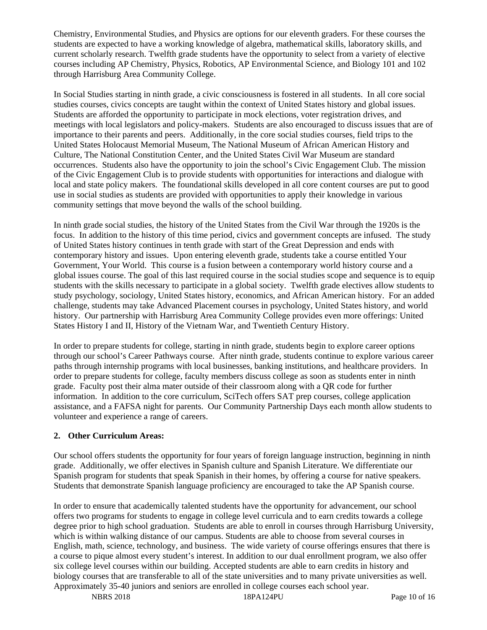Chemistry, Environmental Studies, and Physics are options for our eleventh graders. For these courses the students are expected to have a working knowledge of algebra, mathematical skills, laboratory skills, and current scholarly research. Twelfth grade students have the opportunity to select from a variety of elective courses including AP Chemistry, Physics, Robotics, AP Environmental Science, and Biology 101 and 102 through Harrisburg Area Community College.

In Social Studies starting in ninth grade, a civic consciousness is fostered in all students. In all core social studies courses, civics concepts are taught within the context of United States history and global issues. Students are afforded the opportunity to participate in mock elections, voter registration drives, and meetings with local legislators and policy-makers. Students are also encouraged to discuss issues that are of importance to their parents and peers. Additionally, in the core social studies courses, field trips to the United States Holocaust Memorial Museum, The National Museum of African American History and Culture, The National Constitution Center, and the United States Civil War Museum are standard occurrences. Students also have the opportunity to join the school's Civic Engagement Club. The mission of the Civic Engagement Club is to provide students with opportunities for interactions and dialogue with local and state policy makers. The foundational skills developed in all core content courses are put to good use in social studies as students are provided with opportunities to apply their knowledge in various community settings that move beyond the walls of the school building.

In ninth grade social studies, the history of the United States from the Civil War through the 1920s is the focus. In addition to the history of this time period, civics and government concepts are infused. The study of United States history continues in tenth grade with start of the Great Depression and ends with contemporary history and issues. Upon entering eleventh grade, students take a course entitled Your Government, Your World. This course is a fusion between a contemporary world history course and a global issues course. The goal of this last required course in the social studies scope and sequence is to equip students with the skills necessary to participate in a global society. Twelfth grade electives allow students to study psychology, sociology, United States history, economics, and African American history. For an added challenge, students may take Advanced Placement courses in psychology, United States history, and world history. Our partnership with Harrisburg Area Community College provides even more offerings: United States History I and II, History of the Vietnam War, and Twentieth Century History.

In order to prepare students for college, starting in ninth grade, students begin to explore career options through our school's Career Pathways course. After ninth grade, students continue to explore various career paths through internship programs with local businesses, banking institutions, and healthcare providers. In order to prepare students for college, faculty members discuss college as soon as students enter in ninth grade. Faculty post their alma mater outside of their classroom along with a QR code for further information. In addition to the core curriculum, SciTech offers SAT prep courses, college application assistance, and a FAFSA night for parents. Our Community Partnership Days each month allow students to volunteer and experience a range of careers.

# **2. Other Curriculum Areas:**

Our school offers students the opportunity for four years of foreign language instruction, beginning in ninth grade. Additionally, we offer electives in Spanish culture and Spanish Literature. We differentiate our Spanish program for students that speak Spanish in their homes, by offering a course for native speakers. Students that demonstrate Spanish language proficiency are encouraged to take the AP Spanish course.

In order to ensure that academically talented students have the opportunity for advancement, our school offers two programs for students to engage in college level curricula and to earn credits towards a college degree prior to high school graduation. Students are able to enroll in courses through Harrisburg University, which is within walking distance of our campus. Students are able to choose from several courses in English, math, science, technology, and business. The wide variety of course offerings ensures that there is a course to pique almost every student's interest. In addition to our dual enrollment program, we also offer six college level courses within our building. Accepted students are able to earn credits in history and biology courses that are transferable to all of the state universities and to many private universities as well. Approximately 35-40 juniors and seniors are enrolled in college courses each school year.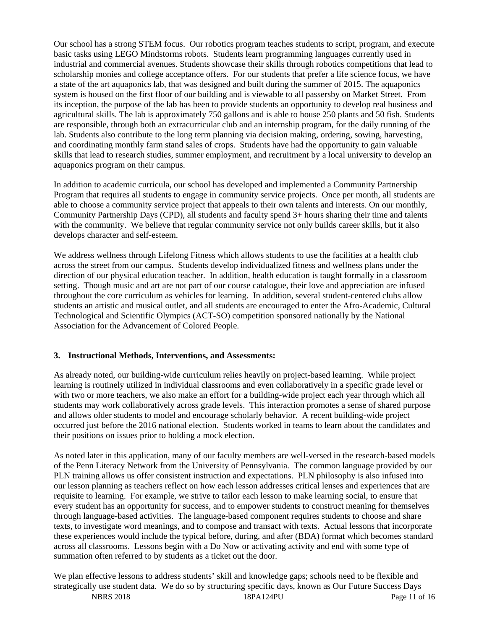Our school has a strong STEM focus. Our robotics program teaches students to script, program, and execute basic tasks using LEGO Mindstorms robots. Students learn programming languages currently used in industrial and commercial avenues. Students showcase their skills through robotics competitions that lead to scholarship monies and college acceptance offers. For our students that prefer a life science focus, we have a state of the art aquaponics lab, that was designed and built during the summer of 2015. The aquaponics system is housed on the first floor of our building and is viewable to all passersby on Market Street. From its inception, the purpose of the lab has been to provide students an opportunity to develop real business and agricultural skills. The lab is approximately 750 gallons and is able to house 250 plants and 50 fish. Students are responsible, through both an extracurricular club and an internship program, for the daily running of the lab. Students also contribute to the long term planning via decision making, ordering, sowing, harvesting, and coordinating monthly farm stand sales of crops. Students have had the opportunity to gain valuable skills that lead to research studies, summer employment, and recruitment by a local university to develop an aquaponics program on their campus.

In addition to academic curricula, our school has developed and implemented a Community Partnership Program that requires all students to engage in community service projects. Once per month, all students are able to choose a community service project that appeals to their own talents and interests. On our monthly, Community Partnership Days (CPD), all students and faculty spend 3+ hours sharing their time and talents with the community. We believe that regular community service not only builds career skills, but it also develops character and self-esteem.

We address wellness through Lifelong Fitness which allows students to use the facilities at a health club across the street from our campus. Students develop individualized fitness and wellness plans under the direction of our physical education teacher. In addition, health education is taught formally in a classroom setting. Though music and art are not part of our course catalogue, their love and appreciation are infused throughout the core curriculum as vehicles for learning. In addition, several student-centered clubs allow students an artistic and musical outlet, and all students are encouraged to enter the Afro-Academic, Cultural Technological and Scientific Olympics (ACT-SO) competition sponsored nationally by the National Association for the Advancement of Colored People.

#### **3. Instructional Methods, Interventions, and Assessments:**

As already noted, our building-wide curriculum relies heavily on project-based learning. While project learning is routinely utilized in individual classrooms and even collaboratively in a specific grade level or with two or more teachers, we also make an effort for a building-wide project each year through which all students may work collaboratively across grade levels. This interaction promotes a sense of shared purpose and allows older students to model and encourage scholarly behavior. A recent building-wide project occurred just before the 2016 national election. Students worked in teams to learn about the candidates and their positions on issues prior to holding a mock election.

As noted later in this application, many of our faculty members are well-versed in the research-based models of the Penn Literacy Network from the University of Pennsylvania. The common language provided by our PLN training allows us offer consistent instruction and expectations. PLN philosophy is also infused into our lesson planning as teachers reflect on how each lesson addresses critical lenses and experiences that are requisite to learning. For example, we strive to tailor each lesson to make learning social, to ensure that every student has an opportunity for success, and to empower students to construct meaning for themselves through language-based activities. The language-based component requires students to choose and share texts, to investigate word meanings, and to compose and transact with texts. Actual lessons that incorporate these experiences would include the typical before, during, and after (BDA) format which becomes standard across all classrooms. Lessons begin with a Do Now or activating activity and end with some type of summation often referred to by students as a ticket out the door.

NBRS 2018 18PA124PU Page 11 of 16 We plan effective lessons to address students' skill and knowledge gaps; schools need to be flexible and strategically use student data. We do so by structuring specific days, known as Our Future Success Days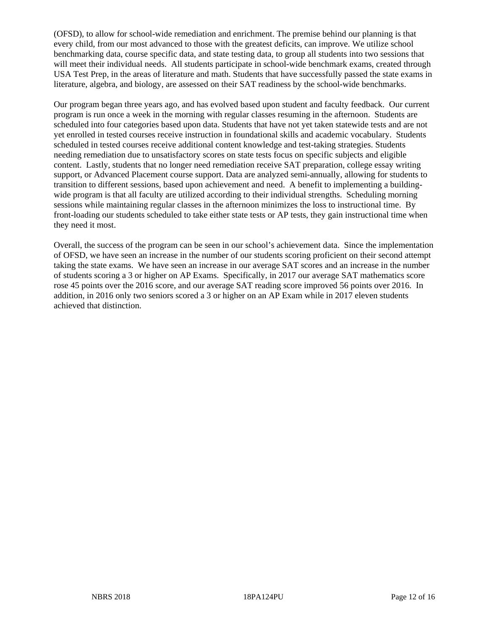(OFSD), to allow for school-wide remediation and enrichment. The premise behind our planning is that every child, from our most advanced to those with the greatest deficits, can improve. We utilize school benchmarking data, course specific data, and state testing data, to group all students into two sessions that will meet their individual needs. All students participate in school-wide benchmark exams, created through USA Test Prep, in the areas of literature and math. Students that have successfully passed the state exams in literature, algebra, and biology, are assessed on their SAT readiness by the school-wide benchmarks.

Our program began three years ago, and has evolved based upon student and faculty feedback. Our current program is run once a week in the morning with regular classes resuming in the afternoon. Students are scheduled into four categories based upon data. Students that have not yet taken statewide tests and are not yet enrolled in tested courses receive instruction in foundational skills and academic vocabulary. Students scheduled in tested courses receive additional content knowledge and test-taking strategies. Students needing remediation due to unsatisfactory scores on state tests focus on specific subjects and eligible content. Lastly, students that no longer need remediation receive SAT preparation, college essay writing support, or Advanced Placement course support. Data are analyzed semi-annually, allowing for students to transition to different sessions, based upon achievement and need. A benefit to implementing a buildingwide program is that all faculty are utilized according to their individual strengths. Scheduling morning sessions while maintaining regular classes in the afternoon minimizes the loss to instructional time. By front-loading our students scheduled to take either state tests or AP tests, they gain instructional time when they need it most.

Overall, the success of the program can be seen in our school's achievement data. Since the implementation of OFSD, we have seen an increase in the number of our students scoring proficient on their second attempt taking the state exams. We have seen an increase in our average SAT scores and an increase in the number of students scoring a 3 or higher on AP Exams. Specifically, in 2017 our average SAT mathematics score rose 45 points over the 2016 score, and our average SAT reading score improved 56 points over 2016. In addition, in 2016 only two seniors scored a 3 or higher on an AP Exam while in 2017 eleven students achieved that distinction.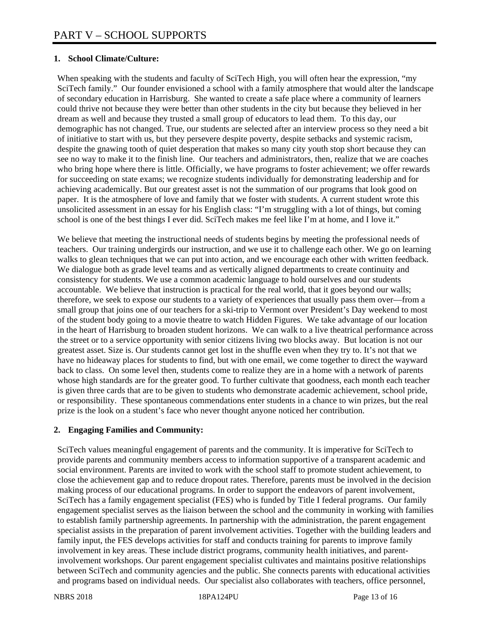## **1. School Climate/Culture:**

When speaking with the students and faculty of SciTech High, you will often hear the expression, "my SciTech family." Our founder envisioned a school with a family atmosphere that would alter the landscape of secondary education in Harrisburg. She wanted to create a safe place where a community of learners could thrive not because they were better than other students in the city but because they believed in her dream as well and because they trusted a small group of educators to lead them. To this day, our demographic has not changed. True, our students are selected after an interview process so they need a bit of initiative to start with us, but they persevere despite poverty, despite setbacks and systemic racism, despite the gnawing tooth of quiet desperation that makes so many city youth stop short because they can see no way to make it to the finish line. Our teachers and administrators, then, realize that we are coaches who bring hope where there is little. Officially, we have programs to foster achievement; we offer rewards for succeeding on state exams; we recognize students individually for demonstrating leadership and for achieving academically. But our greatest asset is not the summation of our programs that look good on paper. It is the atmosphere of love and family that we foster with students. A current student wrote this unsolicited assessment in an essay for his English class: "I'm struggling with a lot of things, but coming school is one of the best things I ever did. SciTech makes me feel like I'm at home, and I love it."

We believe that meeting the instructional needs of students begins by meeting the professional needs of teachers. Our training undergirds our instruction, and we use it to challenge each other. We go on learning walks to glean techniques that we can put into action, and we encourage each other with written feedback. We dialogue both as grade level teams and as vertically aligned departments to create continuity and consistency for students. We use a common academic language to hold ourselves and our students accountable. We believe that instruction is practical for the real world, that it goes beyond our walls; therefore, we seek to expose our students to a variety of experiences that usually pass them over—from a small group that joins one of our teachers for a ski-trip to Vermont over President's Day weekend to most of the student body going to a movie theatre to watch Hidden Figures. We take advantage of our location in the heart of Harrisburg to broaden student horizons. We can walk to a live theatrical performance across the street or to a service opportunity with senior citizens living two blocks away. But location is not our greatest asset. Size is. Our students cannot get lost in the shuffle even when they try to. It's not that we have no hideaway places for students to find, but with one email, we come together to direct the wayward back to class. On some level then, students come to realize they are in a home with a network of parents whose high standards are for the greater good. To further cultivate that goodness, each month each teacher is given three cards that are to be given to students who demonstrate academic achievement, school pride, or responsibility. These spontaneous commendations enter students in a chance to win prizes, but the real prize is the look on a student's face who never thought anyone noticed her contribution.

# **2. Engaging Families and Community:**

SciTech values meaningful engagement of parents and the community. It is imperative for SciTech to provide parents and community members access to information supportive of a transparent academic and social environment. Parents are invited to work with the school staff to promote student achievement, to close the achievement gap and to reduce dropout rates. Therefore, parents must be involved in the decision making process of our educational programs. In order to support the endeavors of parent involvement, SciTech has a family engagement specialist (FES) who is funded by Title I federal programs. Our family engagement specialist serves as the liaison between the school and the community in working with families to establish family partnership agreements. In partnership with the administration, the parent engagement specialist assists in the preparation of parent involvement activities. Together with the building leaders and family input, the FES develops activities for staff and conducts training for parents to improve family involvement in key areas. These include district programs, community health initiatives, and parentinvolvement workshops. Our parent engagement specialist cultivates and maintains positive relationships between SciTech and community agencies and the public. She connects parents with educational activities and programs based on individual needs. Our specialist also collaborates with teachers, office personnel,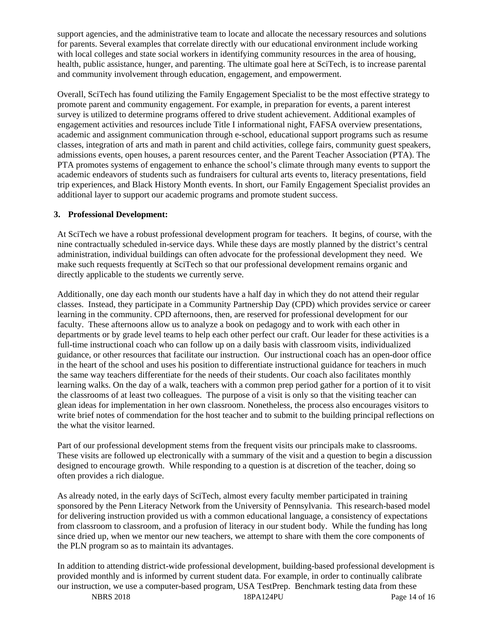support agencies, and the administrative team to locate and allocate the necessary resources and solutions for parents. Several examples that correlate directly with our educational environment include working with local colleges and state social workers in identifying community resources in the area of housing, health, public assistance, hunger, and parenting. The ultimate goal here at SciTech, is to increase parental and community involvement through education, engagement, and empowerment.

Overall, SciTech has found utilizing the Family Engagement Specialist to be the most effective strategy to promote parent and community engagement. For example, in preparation for events, a parent interest survey is utilized to determine programs offered to drive student achievement. Additional examples of engagement activities and resources include Title I informational night, FAFSA overview presentations, academic and assignment communication through e-school, educational support programs such as resume classes, integration of arts and math in parent and child activities, college fairs, community guest speakers, admissions events, open houses, a parent resources center, and the Parent Teacher Association (PTA). The PTA promotes systems of engagement to enhance the school's climate through many events to support the academic endeavors of students such as fundraisers for cultural arts events to, literacy presentations, field trip experiences, and Black History Month events. In short, our Family Engagement Specialist provides an additional layer to support our academic programs and promote student success.

### **3. Professional Development:**

At SciTech we have a robust professional development program for teachers. It begins, of course, with the nine contractually scheduled in-service days. While these days are mostly planned by the district's central administration, individual buildings can often advocate for the professional development they need. We make such requests frequently at SciTech so that our professional development remains organic and directly applicable to the students we currently serve.

Additionally, one day each month our students have a half day in which they do not attend their regular classes. Instead, they participate in a Community Partnership Day (CPD) which provides service or career learning in the community. CPD afternoons, then, are reserved for professional development for our faculty. These afternoons allow us to analyze a book on pedagogy and to work with each other in departments or by grade level teams to help each other perfect our craft. Our leader for these activities is a full-time instructional coach who can follow up on a daily basis with classroom visits, individualized guidance, or other resources that facilitate our instruction. Our instructional coach has an open-door office in the heart of the school and uses his position to differentiate instructional guidance for teachers in much the same way teachers differentiate for the needs of their students. Our coach also facilitates monthly learning walks. On the day of a walk, teachers with a common prep period gather for a portion of it to visit the classrooms of at least two colleagues. The purpose of a visit is only so that the visiting teacher can glean ideas for implementation in her own classroom. Nonetheless, the process also encourages visitors to write brief notes of commendation for the host teacher and to submit to the building principal reflections on the what the visitor learned.

Part of our professional development stems from the frequent visits our principals make to classrooms. These visits are followed up electronically with a summary of the visit and a question to begin a discussion designed to encourage growth. While responding to a question is at discretion of the teacher, doing so often provides a rich dialogue.

As already noted, in the early days of SciTech, almost every faculty member participated in training sponsored by the Penn Literacy Network from the University of Pennsylvania. This research-based model for delivering instruction provided us with a common educational language, a consistency of expectations from classroom to classroom, and a profusion of literacy in our student body. While the funding has long since dried up, when we mentor our new teachers, we attempt to share with them the core components of the PLN program so as to maintain its advantages.

In addition to attending district-wide professional development, building-based professional development is provided monthly and is informed by current student data. For example, in order to continually calibrate our instruction, we use a computer-based program, USA TestPrep. Benchmark testing data from these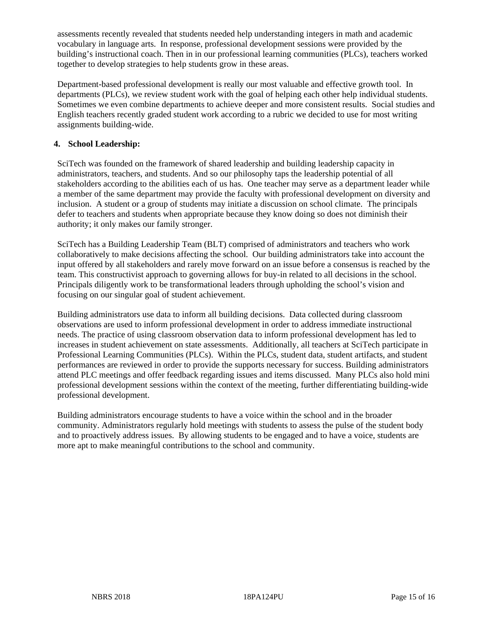assessments recently revealed that students needed help understanding integers in math and academic vocabulary in language arts. In response, professional development sessions were provided by the building's instructional coach. Then in in our professional learning communities (PLCs), teachers worked together to develop strategies to help students grow in these areas.

Department-based professional development is really our most valuable and effective growth tool. In departments (PLCs), we review student work with the goal of helping each other help individual students. Sometimes we even combine departments to achieve deeper and more consistent results. Social studies and English teachers recently graded student work according to a rubric we decided to use for most writing assignments building-wide.

## **4. School Leadership:**

SciTech was founded on the framework of shared leadership and building leadership capacity in administrators, teachers, and students. And so our philosophy taps the leadership potential of all stakeholders according to the abilities each of us has. One teacher may serve as a department leader while a member of the same department may provide the faculty with professional development on diversity and inclusion. A student or a group of students may initiate a discussion on school climate. The principals defer to teachers and students when appropriate because they know doing so does not diminish their authority; it only makes our family stronger.

SciTech has a Building Leadership Team (BLT) comprised of administrators and teachers who work collaboratively to make decisions affecting the school. Our building administrators take into account the input offered by all stakeholders and rarely move forward on an issue before a consensus is reached by the team. This constructivist approach to governing allows for buy-in related to all decisions in the school. Principals diligently work to be transformational leaders through upholding the school's vision and focusing on our singular goal of student achievement.

Building administrators use data to inform all building decisions. Data collected during classroom observations are used to inform professional development in order to address immediate instructional needs. The practice of using classroom observation data to inform professional development has led to increases in student achievement on state assessments. Additionally, all teachers at SciTech participate in Professional Learning Communities (PLCs). Within the PLCs, student data, student artifacts, and student performances are reviewed in order to provide the supports necessary for success. Building administrators attend PLC meetings and offer feedback regarding issues and items discussed. Many PLCs also hold mini professional development sessions within the context of the meeting, further differentiating building-wide professional development.

Building administrators encourage students to have a voice within the school and in the broader community. Administrators regularly hold meetings with students to assess the pulse of the student body and to proactively address issues. By allowing students to be engaged and to have a voice, students are more apt to make meaningful contributions to the school and community.